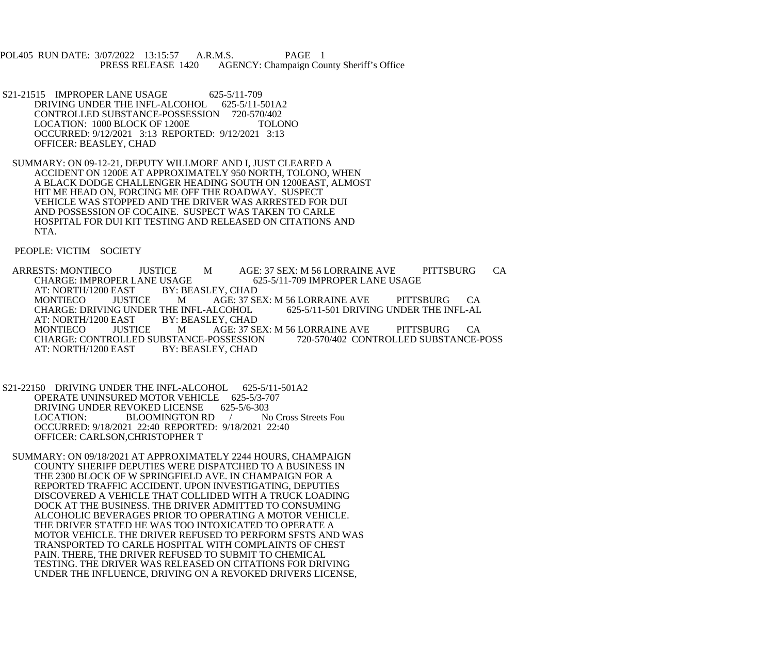POL405 RUN DATE: 3/07/2022 13:15:57 A.R.M.S. PAGE 1<br>PRESS RELEASE 1420 AGENCY: Champaign Cou AGENCY: Champaign County Sheriff's Office

- S21-21515 IMPROPER LANE USAGE 625-5/11-709<br>DRIVING UNDER THE INFL-ALCOHOL 625-5/11-501A2 DRIVING UNDER THE INFL-ALCOHOL CONTROLLED SUBSTANCE-POSSESSION 720-570/402 LOCATION: 1000 BLOCK OF 1200E TOLONO OCCURRED: 9/12/2021 3:13 REPORTED: 9/12/2021 3:13 OFFICER: BEASLEY, CHAD
- SUMMARY: ON 09-12-21, DEPUTY WILLMORE AND I, JUST CLEARED A ACCIDENT ON 1200E AT APPROXIMATELY 950 NORTH, TOLONO, WHEN A BLACK DODGE CHALLENGER HEADING SOUTH ON 1200EAST, ALMOST HIT ME HEAD ON, FORCING ME OFF THE ROADWAY. SUSPECT VEHICLE WAS STOPPED AND THE DRIVER WAS ARRESTED FOR DUI AND POSSESSION OF COCAINE. SUSPECT WAS TAKEN TO CARLE HOSPITAL FOR DUI KIT TESTING AND RELEASED ON CITATIONS AND NTA.

PEOPLE: VICTIM SOCIETY

ARRESTS: MONTIECO JUSTICE M AGE: 37 SEX: M 56 LORRAINE AVE PITTSBURG CA CHARGE: IMPROPER LANE USAGE CHARGE: IMPROPER LANE USAGE 6<br>AT: NORTH/1200 EAST BY: BEASLEY. CHAD AT: NORTH/1200 EAST BY: BI<br>MONTIECO JUSTICE M AGE: 37 SEX: M 56 LORRAINE AVE PITTSBURG CA<br>LCOHOL 625-5/11-501 DRIVING UNDER THE INFL-AL CHARGE: DRIVING UNDER THE INFL-ALCOHOL<br>AT: NORTH/1200 EAST BY: BEASLEY, CHAD AT: NORTH/1200 EAST MONTIECO JUSTICE M AGE: 37 SEX: M 56 LORRAINE AVE PITTSBURG CA CHARGE: CONTROLLED SUBSTANCE-POSSESSION 720-570/402 CONTROLLED SUBSTANCE-POSS CHARGE: CONTROLLED SUBSTANCE-POSSESSION<br>AT: NORTH/1200 EAST BY: BEASLEY. CHAD BY: BEASLEY, CHAD

- S21-22150 DRIVING UNDER THE INFL-ALCOHOL 625-5/11-501A2 OPERATE UNINSURED MOTOR VEHICLE 625-5/3-707<br>DRIVING UNDER REVOKED LICENSE 625-5/6-303 DRIVING UNDER REVOKED LICENSE 625-5/6-303<br>LOCATION: BLOOMINGTON RD / No Cross Streets Fou BLOOMINGTON RD OCCURRED: 9/18/2021 22:40 REPORTED: 9/18/2021 22:40 OFFICER: CARLSON,CHRISTOPHER T
- SUMMARY: ON 09/18/2021 AT APPROXIMATELY 2244 HOURS, CHAMPAIGN COUNTY SHERIFF DEPUTIES WERE DISPATCHED TO A BUSINESS IN THE 2300 BLOCK OF W SPRINGFIELD AVE. IN CHAMPAIGN FOR A REPORTED TRAFFIC ACCIDENT. UPON INVESTIGATING, DEPUTIES DISCOVERED A VEHICLE THAT COLLIDED WITH A TRUCK LOADING DOCK AT THE BUSINESS. THE DRIVER ADMITTED TO CONSUMING ALCOHOLIC BEVERAGES PRIOR TO OPERATING A MOTOR VEHICLE. THE DRIVER STATED HE WAS TOO INTOXICATED TO OPERATE A MOTOR VEHICLE. THE DRIVER REFUSED TO PERFORM SFSTS AND WAS TRANSPORTED TO CARLE HOSPITAL WITH COMPLAINTS OF CHEST PAIN. THERE, THE DRIVER REFUSED TO SUBMIT TO CHEMICAL TESTING. THE DRIVER WAS RELEASED ON CITATIONS FOR DRIVING UNDER THE INFLUENCE, DRIVING ON A REVOKED DRIVERS LICENSE,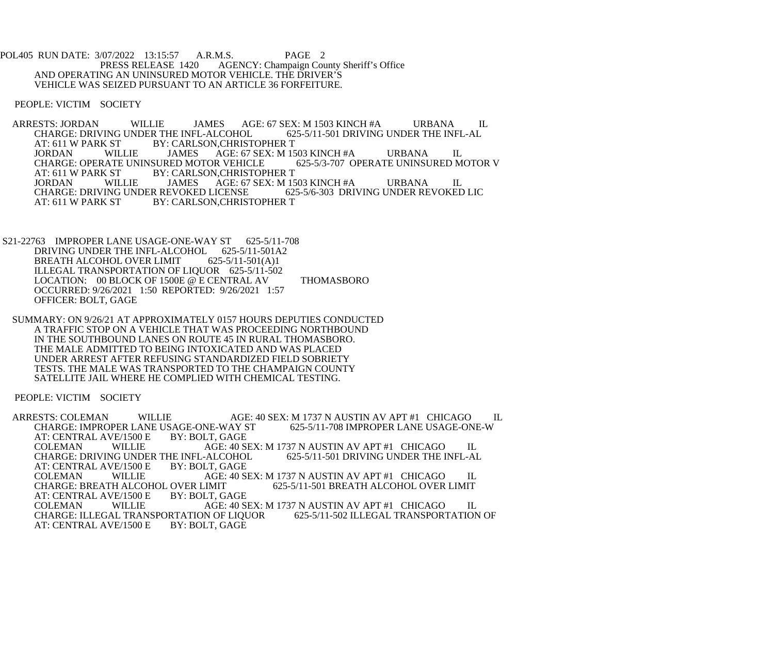POL405 RUN DATE: 3/07/2022 13:15:57 A.R.M.S. PAGE 2<br>PRESS RELEASE 1420 AGENCY: Champaign Cou AGENCY: Champaign County Sheriff's Office AND OPERATING AN UNINSURED MOTOR VEHICLE. THE DRIVER'S VEHICLE WAS SEIZED PURSUANT TO AN ARTICLE 36 FORFEITURE.

PEOPLE: VICTIM SOCIETY

ARRESTS: JORDAN WILLIE JAMES AGE: 67 SEX: M 1503 KINCH #A URBANA IL<br>CHARGE: DRIVING UNDER THE INFL-ALCOHOL 625-5/11-501 DRIVING UNDER THE INFL-AL CHARGE: DRIVING UNDER THE INFL-ALCOHOL<br>AT: 611 W PARK ST BY: CARLSON,CHRIST AT: 611 W PARK ST BY: CARLSON, CHRISTOPHER T<br>JORDAN WILLIE JAMES AGE: 67 SEX: M 15 AGE: 67 SEX: M 1503 KINCH #A URBANA IL<br>OR VEHICLE 625-5/3-707 OPERATE UNINSURED MOTOR V CHARGE: OPERATE UNINSURED MOTOR VEHICLE<br>AT: 611 W PARK ST BY: CARLSON.CHRISTOP BY: CARLSON, CHRISTOPHER T JORDAN WILLIE JAMES AGE: 67 SEX: M 1503 KINCH #A URBANA IL CHARGE: DRIVING UNDER REVOKED LICENSE<br>AT: 611 W PARK ST BY: CARLSON.CHRIST BY: CARLSON, CHRISTOPHER T

S21-22763 IMPROPER LANE USAGE-ONE-WAY ST 625-5/11-708 DRIVING UNDER THE INFL-ALCOHOL 625-5/11-501A2<br>BREATH ALCOHOL OVER LIMIT 625-5/11-501(A)1 BREATH ALCOHOL OVER LIMIT ILLEGAL TRANSPORTATION OF LIQUOR 625-5/11-502 LOCATION: 00 BLOCK OF 1500E @ E CENTRAL AV THOMASBORO OCCURRED: 9/26/2021 1:50 REPORTED: 9/26/2021 1:57 OFFICER: BOLT, GAGE

 SUMMARY: ON 9/26/21 AT APPROXIMATELY 0157 HOURS DEPUTIES CONDUCTED A TRAFFIC STOP ON A VEHICLE THAT WAS PROCEEDING NORTHBOUND IN THE SOUTHBOUND LANES ON ROUTE 45 IN RURAL THOMASBORO. THE MALE ADMITTED TO BEING INTOXICATED AND WAS PLACED UNDER ARREST AFTER REFUSING STANDARDIZED FIELD SOBRIETY TESTS. THE MALE WAS TRANSPORTED TO THE CHAMPAIGN COUNTY SATELLITE JAIL WHERE HE COMPLIED WITH CHEMICAL TESTING.

PEOPLE: VICTIM SOCIETY

ARRESTS: COLEMAN WILLIE AGE: 40 SEX: M 1737 N AUSTIN AV APT #1 CHICAGO IL<br>CHARGE: IMPROPER LANE USAGE-ONE-WAY ST 625-5/11-708 IMPROPER LANE USAGE-ONE-W CHARGE: IMPROPER LANE USAGE-ONE-WAY ST<br>AT: CENTRAL AVE/1500 E BY: BOLT. GAGE AT: CENTRAL AVE/1500 E<br>COLEMAN WILLIE COLEMAN WILLIE AGE: 40 SEX: M 1737 N AUSTIN AV APT #1 CHICAGO IL<br>CHARGE: DRIVING UNDER THE INFL-ALCOHOL 625-5/11-501 DRIVING UNDER THE INFL-AL CHARGE: DRIVING UNDER THE INFL-ALCOHOL<br>AT: CENTRAL AVE/1500 E BY: BOLT, GAGE AT: CENTRAL AVE/1500 E COLEMAN WILLIE AGE: 40 SEX: M 1737 N AUSTIN AV APT #1 CHICAGO IL CHARGE: BREATH ALCOHOL OVER LIMIT OVER LIMIT 625-5/11-501 BREATH ALCOHOL OVER LIMIT BY: BOLT. GAGE AT: CENTRAL AVE/1500 E COLEMAN WILLIE AGE: 40 SEX: M 1737 N AUSTIN AV APT #1 CHICAGO IL<br>CHARGE: ILLEGAL TRANSPORTATION OF LIQUOR 625-5/11-502 ILLEGAL TRANSPORTATION OF CHARGE: ILLEGAL TRANSPORTATION OF LIQUOR<br>AT: CENTRAL AVE/1500 E BY: BOLT, GAGE AT: CENTRAL AVE/1500 E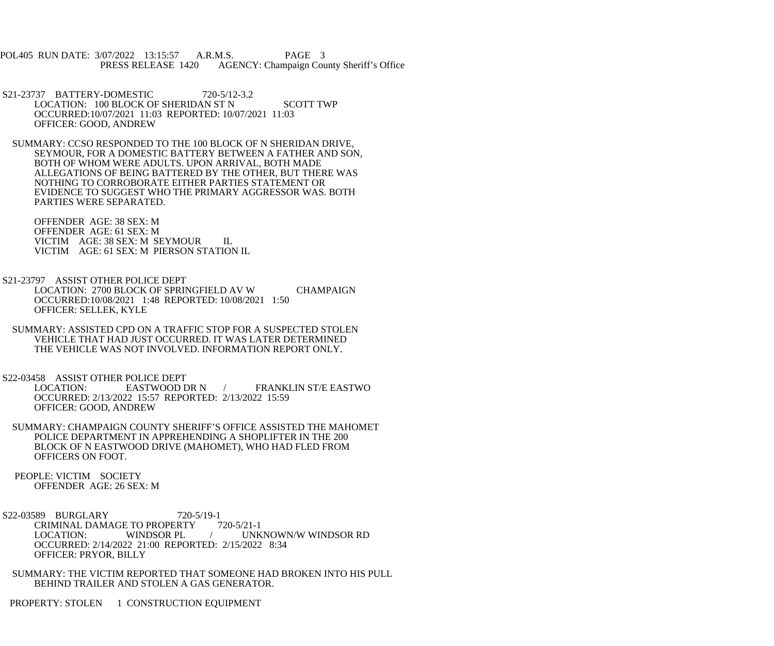POL405 RUN DATE: 3/07/2022 13:15:57 A.R.M.S. PAGE 3 PRESS RELEASE 1420 AGENCY: Champaign County Sheriff's Office

- S21-23737 BATTERY-DOMESTIC 720-5/12-3.2 LOCATION: 100 BLOCK OF SHERIDAN ST N SCOTT TWP OCCURRED:10/07/2021 11:03 REPORTED: 10/07/2021 11:03 OFFICER: GOOD, ANDREW
- SUMMARY: CCSO RESPONDED TO THE 100 BLOCK OF N SHERIDAN DRIVE, SEYMOUR, FOR A DOMESTIC BATTERY BETWEEN A FATHER AND SON, BOTH OF WHOM WERE ADULTS. UPON ARRIVAL, BOTH MADE ALLEGATIONS OF BEING BATTERED BY THE OTHER, BUT THERE WAS NOTHING TO CORROBORATE EITHER PARTIES STATEMENT OR EVIDENCE TO SUGGEST WHO THE PRIMARY AGGRESSOR WAS. BOTH PARTIES WERE SEPARATED.

 OFFENDER AGE: 38 SEX: M OFFENDER AGE: 61 SEX: M VICTIM AGE: 38 SEX: M SEYMOUR IL VICTIM AGE: 61 SEX: M PIERSON STATION IL

- S21-23797 ASSIST OTHER POLICE DEPT LOCATION: 2700 BLOCK OF SPRINGFIELD AV W CHAMPAIGN OCCURRED:10/08/2021 1:48 REPORTED: 10/08/2021 1:50 OFFICER: SELLEK, KYLE
- SUMMARY: ASSISTED CPD ON A TRAFFIC STOP FOR A SUSPECTED STOLEN VEHICLE THAT HAD JUST OCCURRED. IT WAS LATER DETERMINED THE VEHICLE WAS NOT INVOLVED. INFORMATION REPORT ONLY.

S22-03458 ASSIST OTHER POLICE DEPT<br>LOCATION: EASTWOOD DR N

/ FRANKLIN ST/E EASTWO OCCURRED: 2/13/2022 15:57 REPORTED: 2/13/2022 15:59 OFFICER: GOOD, ANDREW

- SUMMARY: CHAMPAIGN COUNTY SHERIFF'S OFFICE ASSISTED THE MAHOMET POLICE DEPARTMENT IN APPREHENDING A SHOPLIFTER IN THE 200 BLOCK OF N EASTWOOD DRIVE (MAHOMET), WHO HAD FLED FROM OFFICERS ON FOOT.
- PEOPLE: VICTIM SOCIETY OFFENDER AGE: 26 SEX: M
- S22-03589 BURGLARY 720-5/19-1 CRIMINAL DAMAGE TO PROPERTY 720-5/21-1<br>LOCATION: WINDSOR PL / UNK LOCATION: WINDSOR PL / UNKNOWN/W WINDSOR RD OCCURRED: 2/14/2022 21:00 REPORTED: 2/15/2022 8:34 OFFICER: PRYOR, BILLY
- SUMMARY: THE VICTIM REPORTED THAT SOMEONE HAD BROKEN INTO HIS PULL BEHIND TRAILER AND STOLEN A GAS GENERATOR.

PROPERTY: STOLEN 1 CONSTRUCTION EQUIPMENT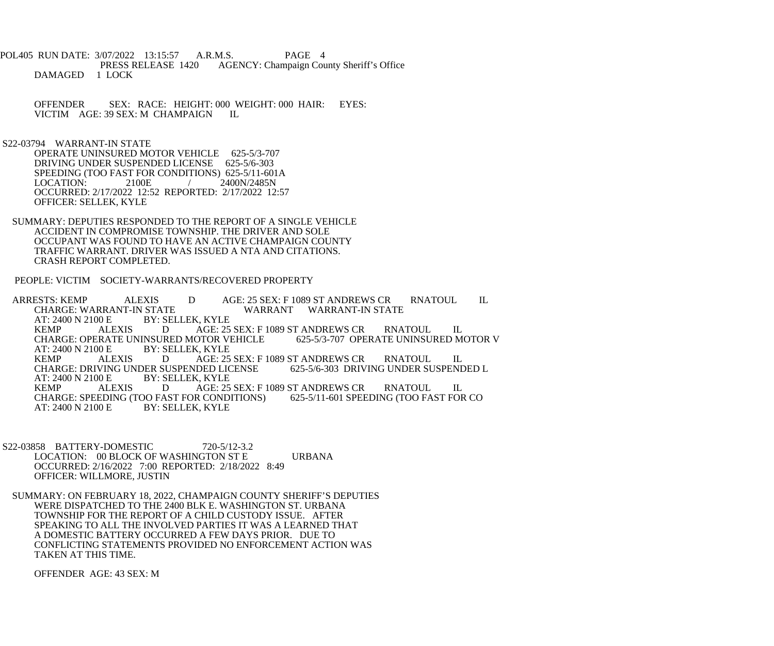POL405 RUN DATE: 3/07/2022 13:15:57 A.R.M.S. PAGE 4<br>PRESS RELEASE 1420 AGENCY: Champaign Cou AGENCY: Champaign County Sheriff's Office DAMAGED 1 LOCK

 OFFENDER SEX: RACE: HEIGHT: 000 WEIGHT: 000 HAIR: EYES: VICTIM AGE: 39 SEX: M CHAMPAIGN IL

S22-03794 WARRANT-IN STATE

 OPERATE UNINSURED MOTOR VEHICLE 625-5/3-707 DRIVING UNDER SUSPENDED LICENSE 625-5/6-303 SPEEDING (TOO FAST FOR CONDITIONS) 625-5/11-601A LOCATION: 2100E / 2400N/2485N OCCURRED: 2/17/2022 12:52 REPORTED: 2/17/2022 12:57 OFFICER: SELLEK, KYLE

 SUMMARY: DEPUTIES RESPONDED TO THE REPORT OF A SINGLE VEHICLE ACCIDENT IN COMPROMISE TOWNSHIP. THE DRIVER AND SOLE OCCUPANT WAS FOUND TO HAVE AN ACTIVE CHAMPAIGN COUNTY TRAFFIC WARRANT. DRIVER WAS ISSUED A NTA AND CITATIONS. CRASH REPORT COMPLETED.

PEOPLE: VICTIM SOCIETY-WARRANTS/RECOVERED PROPERTY

ARRESTS: KEMP ALEXIS D AGE: 25 SEX: F 1089 ST ANDREWS CR RNATOUL IL<br>CHARGE: WARRANT-IN STATE WARRANT WARRANT-IN STATE CHARGE: WARRANT-IN STATE WARRANT WARRANT-IN STATE<br>AT: 2400 N 2100 E BY: SELLEK. KYLE BY: SELLEK, KYLE KEMP ALEXIS D AGE: 25 SEX: F 1089 ST ANDREWS CR RNATOUL IL<br>CHARGE: OPERATE UNINSURED MOTOR VEHICLE 625-5/3-707 OPERATE UNINSURED MOTOR V CHARGE: OPERATE UNINSURED MOTOR VEHICLE<br>AT: 2400 N 2100 E BY: SELLEK. KYLE AT: 2400 N 2100 E BY: SELLEK, KYLE<br>KEMP ALEXIS DAGE: 25 AGE: 25 SEX: F 1089 ST ANDREWS CR<br>IDED LICENSE 625-5/6-303 DRIVING UNDER SUSPENDED L CHARGE: DRIVING UNDER SUSPENDED LICENSE<br>AT: 2400 N 2100 E BY: SELLEK. KYLE BY: SELLEK, KYLE KEMP ALEXIS D AGE: 25 SEX: F 1089 ST ANDREWS CR RNATOUL IL<br>CHARGE: SPEEDING (TOO FAST FOR CONDITIONS) 625-5/11-601 SPEEDING (TOO FAST FOR CO CHARGE: SPEEDING (TOO FAST FOR CONDITIONS)<br>AT: 2400 N 2100 E BY: SELLEK, KYLE BY: SELLEK, KYLE

- S22-03858 BATTERY-DOMESTIC 720-5/12-3.2 LOCATION: 00 BLOCK OF WASHINGTON ST E URBANA OCCURRED: 2/16/2022 7:00 REPORTED: 2/18/2022 8:49 OFFICER: WILLMORE, JUSTIN
- SUMMARY: ON FEBRUARY 18, 2022, CHAMPAIGN COUNTY SHERIFF'S DEPUTIES WERE DISPATCHED TO THE 2400 BLK E. WASHINGTON ST. URBANA TOWNSHIP FOR THE REPORT OF A CHILD CUSTODY ISSUE. AFTER SPEAKING TO ALL THE INVOLVED PARTIES IT WAS A LEARNED THAT A DOMESTIC BATTERY OCCURRED A FEW DAYS PRIOR. DUE TO CONFLICTING STATEMENTS PROVIDED NO ENFORCEMENT ACTION WAS TAKEN AT THIS TIME.

OFFENDER AGE: 43 SEX: M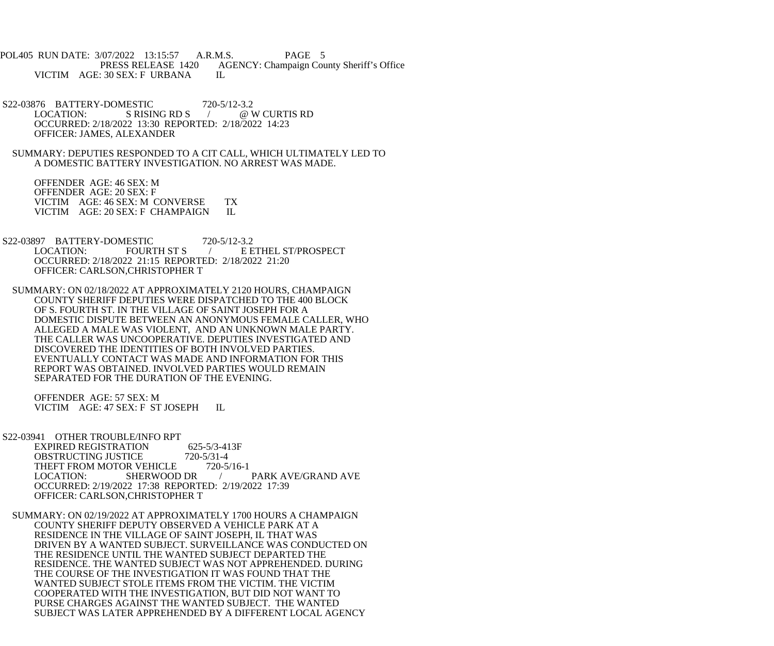POL405 RUN DATE: 3/07/2022 13:15:57 A.R.M.S. PAGE 5 PRESS RELEASE 1420 AGENCY: Champaign County Sheriff's Office VICTIM AGE: 30 SEX: F URBANA IL

 S22-03876 BATTERY-DOMESTIC 720-5/12-3.2 LOCATION: S RISING RD S / @ W CURTIS RD OCCURRED: 2/18/2022 13:30 REPORTED: 2/18/2022 14:23 OFFICER: JAMES, ALEXANDER

 SUMMARY: DEPUTIES RESPONDED TO A CIT CALL, WHICH ULTIMATELY LED TO A DOMESTIC BATTERY INVESTIGATION. NO ARREST WAS MADE.

 OFFENDER AGE: 46 SEX: M OFFENDER AGE: 20 SEX: F VICTIM AGE: 46 SEX: M CONVERSE TX<br>VICTIM AGE: 20 SEX: F CHAMPAIGN IL VICTIM AGE: 20 SEX: F CHAMPAIGN

S22-03897 BATTERY-DOMESTIC 720-5/12-3.2<br>LOCATION: FOURTH ST S / E E E ETHEL ST/PROSPECT OCCURRED: 2/18/2022 21:15 REPORTED: 2/18/2022 21:20 OFFICER: CARLSON,CHRISTOPHER T

 SUMMARY: ON 02/18/2022 AT APPROXIMATELY 2120 HOURS, CHAMPAIGN COUNTY SHERIFF DEPUTIES WERE DISPATCHED TO THE 400 BLOCK OF S. FOURTH ST. IN THE VILLAGE OF SAINT JOSEPH FOR A DOMESTIC DISPUTE BETWEEN AN ANONYMOUS FEMALE CALLER, WHO ALLEGED A MALE WAS VIOLENT, AND AN UNKNOWN MALE PARTY. THE CALLER WAS UNCOOPERATIVE. DEPUTIES INVESTIGATED AND DISCOVERED THE IDENTITIES OF BOTH INVOLVED PARTIES. EVENTUALLY CONTACT WAS MADE AND INFORMATION FOR THIS REPORT WAS OBTAINED. INVOLVED PARTIES WOULD REMAIN SEPARATED FOR THE DURATION OF THE EVENING.

 OFFENDER AGE: 57 SEX: M VICTIM AGE: 47 SEX: F ST JOSEPH IL

 S22-03941 OTHER TROUBLE/INFO RPT EXPIRED REGISTRATION 625-5/3-413F<br>OBSTRUCTING JUSTICE 720-5/31-4 OBSTRUCTING JUSTICE 720-5/31-4<br>THEFT FROM MOTOR VEHICLE 720-5/16-1 THEFT FROM MOTOR VEHICLE<br>LOCATION: SHERWOOD DR LOCATION: SHERWOOD DR / PARK AVE/GRAND AVE OCCURRED: 2/19/2022 17:38 REPORTED: 2/19/2022 17:39 OFFICER: CARLSON,CHRISTOPHER T

 SUMMARY: ON 02/19/2022 AT APPROXIMATELY 1700 HOURS A CHAMPAIGN COUNTY SHERIFF DEPUTY OBSERVED A VEHICLE PARK AT A RESIDENCE IN THE VILLAGE OF SAINT JOSEPH, IL THAT WAS DRIVEN BY A WANTED SUBJECT. SURVEILLANCE WAS CONDUCTED ON THE RESIDENCE UNTIL THE WANTED SUBJECT DEPARTED THE RESIDENCE. THE WANTED SUBJECT WAS NOT APPREHENDED. DURING THE COURSE OF THE INVESTIGATION IT WAS FOUND THAT THE WANTED SUBJECT STOLE ITEMS FROM THE VICTIM. THE VICTIM COOPERATED WITH THE INVESTIGATION, BUT DID NOT WANT TO PURSE CHARGES AGAINST THE WANTED SUBJECT. THE WANTED SUBJECT WAS LATER APPREHENDED BY A DIFFERENT LOCAL AGENCY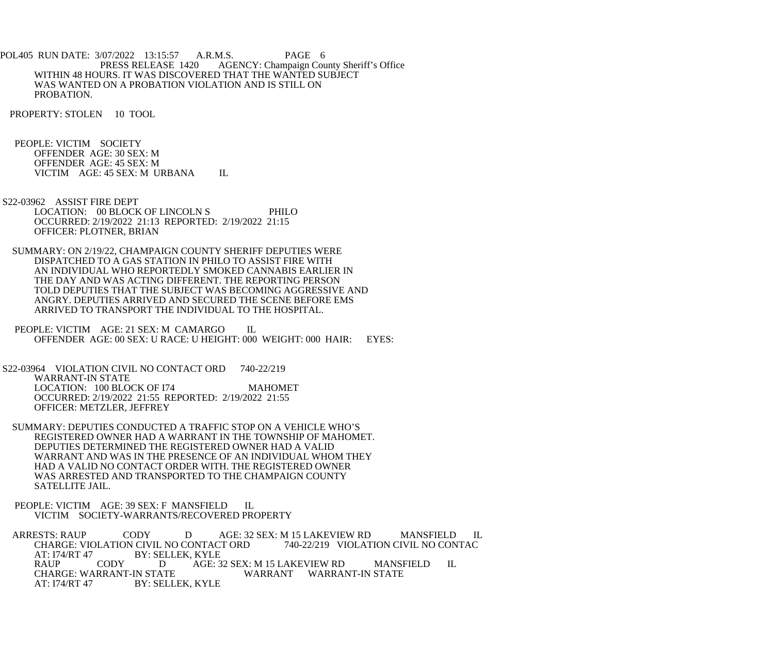POL405 RUN DATE: 3/07/2022 13:15:57 A.R.M.S. PAGE 6<br>PRESS RELEASE 1420 AGENCY: Champaign Cou AGENCY: Champaign County Sheriff's Office WITHIN 48 HOURS. IT WAS DISCOVERED THAT THE WANTED SUBJECT WAS WANTED ON A PROBATION VIOLATION AND IS STILL ON PROBATION.

PROPERTY: STOLEN 10 TOOL

 PEOPLE: VICTIM SOCIETY OFFENDER AGE: 30 SEX: M OFFENDER AGE: 45 SEX: M VICTIM AGE: 45 SEX: M URBANA IL

- S22-03962 ASSIST FIRE DEPT LOCATION: 00 BLOCK OF LINCOLN S PHILO OCCURRED: 2/19/2022 21:13 REPORTED: 2/19/2022 21:15 OFFICER: PLOTNER, BRIAN
- SUMMARY: ON 2/19/22, CHAMPAIGN COUNTY SHERIFF DEPUTIES WERE DISPATCHED TO A GAS STATION IN PHILO TO ASSIST FIRE WITH AN INDIVIDUAL WHO REPORTEDLY SMOKED CANNABIS EARLIER IN THE DAY AND WAS ACTING DIFFERENT. THE REPORTING PERSON TOLD DEPUTIES THAT THE SUBJECT WAS BECOMING AGGRESSIVE AND ANGRY. DEPUTIES ARRIVED AND SECURED THE SCENE BEFORE EMS ARRIVED TO TRANSPORT THE INDIVIDUAL TO THE HOSPITAL.
- PEOPLE: VICTIM AGE: 21 SEX: M CAMARGO IL OFFENDER AGE: 00 SEX: U RACE: U HEIGHT: 000 WEIGHT: 000 HAIR: EYES:

 S22-03964 VIOLATION CIVIL NO CONTACT ORD 740-22/219 WARRANT-IN STATE LOCATION: 100 BLOCK OF I74 MAHOMET OCCURRED: 2/19/2022 21:55 REPORTED: 2/19/2022 21:55 OFFICER: METZLER, JEFFREY

 SUMMARY: DEPUTIES CONDUCTED A TRAFFIC STOP ON A VEHICLE WHO'S REGISTERED OWNER HAD A WARRANT IN THE TOWNSHIP OF MAHOMET. DEPUTIES DETERMINED THE REGISTERED OWNER HAD A VALID WARRANT AND WAS IN THE PRESENCE OF AN INDIVIDUAL WHOM THEY HAD A VALID NO CONTACT ORDER WITH. THE REGISTERED OWNER WAS ARRESTED AND TRANSPORTED TO THE CHAMPAIGN COUNTY SATELLITE JAIL.

PEOPLE: VICTIM AGE: 39 SEX: F MANSFIELD IL VICTIM SOCIETY-WARRANTS/RECOVERED PROPERTY

 ARRESTS: RAUP CODY D AGE: 32 SEX: M 15 LAKEVIEW RD MANSFIELD IL CHARGE: VIOLATION CIVIL NO CONTACT ORD 740-22/219 VIOLATION CIVIL NO CONTAC<br>AT: 174/RT 47 BY: SELLEK, KYLE AT: I74/RT 47 BY: SELLEK, KYLE<br>RAUP CODY DAGE: 3 RAUP CODY D AGE: 32 SEX: M 15 LAKEVIEW RD MANSFIELD IL CHARGE: WARRANT-IN STATE CHARGE: WARRANT-IN STATE WARRANT WARRANT-IN STATE<br>AT: 174/RT 47 BY: SELLEK. KYLE BY: SELLEK, KYLE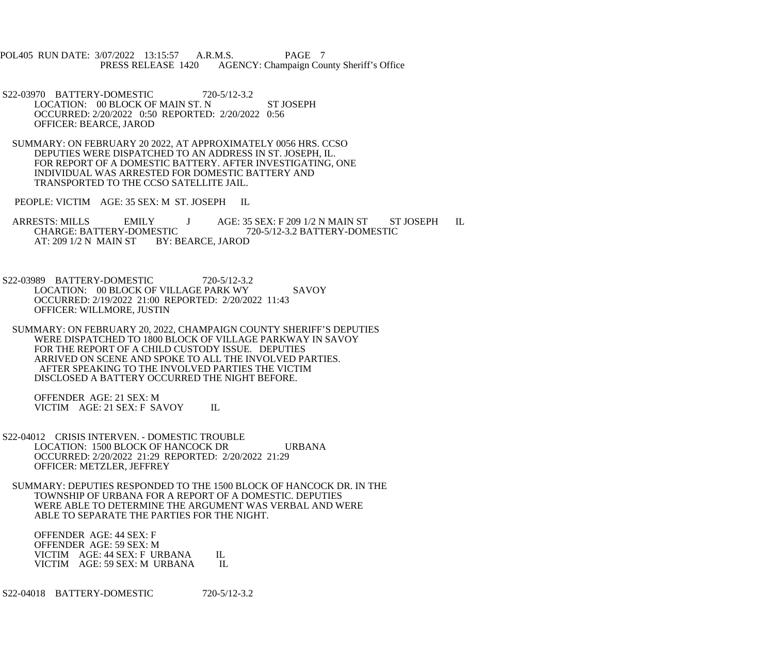POL405 RUN DATE: 3/07/2022 13:15:57 A.R.M.S. PAGE 7 PRESS RELEASE 1420 AGENCY: Champaign County Sheriff's Office

- S22-03970 BATTERY-DOMESTIC 720-5/12-3.2 LOCATION: 00 BLOCK OF MAIN ST. N ST JOSEPH OCCURRED: 2/20/2022 0:50 REPORTED: 2/20/2022 0:56 OFFICER: BEARCE, JAROD
- SUMMARY: ON FEBRUARY 20 2022, AT APPROXIMATELY 0056 HRS. CCSO DEPUTIES WERE DISPATCHED TO AN ADDRESS IN ST. JOSEPH, IL. FOR REPORT OF A DOMESTIC BATTERY. AFTER INVESTIGATING, ONE INDIVIDUAL WAS ARRESTED FOR DOMESTIC BATTERY AND TRANSPORTED TO THE CCSO SATELLITE JAIL.

PEOPLE: VICTIM AGE: 35 SEX: M ST. JOSEPH IL

ARRESTS: MILLS EMILY J AGE: 35 SEX: F 209 1/2 N MAIN ST ST JOSEPH IL CHARGE: BATTERY-DOMESTIC 720-5/12-3.2 BATTERY-DOMESTIC ESTIC 720-5/12-3.2 BATTERY-DOMESTIC<br>BY: BEARCE, JAROD AT: 209 1/2 N MAIN ST

 S22-03989 BATTERY-DOMESTIC 720-5/12-3.2 LOCATION: 00 BLOCK OF VILLAGE PARK WY SAVOY OCCURRED: 2/19/2022 21:00 REPORTED: 2/20/2022 11:43 OFFICER: WILLMORE, JUSTIN

 SUMMARY: ON FEBRUARY 20, 2022, CHAMPAIGN COUNTY SHERIFF'S DEPUTIES WERE DISPATCHED TO 1800 BLOCK OF VILLAGE PARKWAY IN SAVOY FOR THE REPORT OF A CHILD CUSTODY ISSUE. DEPUTIES ARRIVED ON SCENE AND SPOKE TO ALL THE INVOLVED PARTIES. AFTER SPEAKING TO THE INVOLVED PARTIES THE VICTIM DISCLOSED A BATTERY OCCURRED THE NIGHT BEFORE.

 OFFENDER AGE: 21 SEX: M VICTIM AGE: 21 SEX: F SAVOY IL

- S22-04012 CRISIS INTERVEN. DOMESTIC TROUBLE LOCATION: 1500 BLOCK OF HANCOCK DR URBANA OCCURRED: 2/20/2022 21:29 REPORTED: 2/20/2022 21:29 OFFICER: METZLER, JEFFREY
	- SUMMARY: DEPUTIES RESPONDED TO THE 1500 BLOCK OF HANCOCK DR. IN THE TOWNSHIP OF URBANA FOR A REPORT OF A DOMESTIC. DEPUTIES WERE ABLE TO DETERMINE THE ARGUMENT WAS VERBAL AND WERE ABLE TO SEPARATE THE PARTIES FOR THE NIGHT.

 OFFENDER AGE: 44 SEX: F OFFENDER AGE: 59 SEX: M VICTIM AGE: 44 SEX: F URBANA IL<br>VICTIM AGE: 59 SEX: M URBANA IL VICTIM AGE: 59 SEX: M URBANA

S22-04018 BATTERY-DOMESTIC 720-5/12-3.2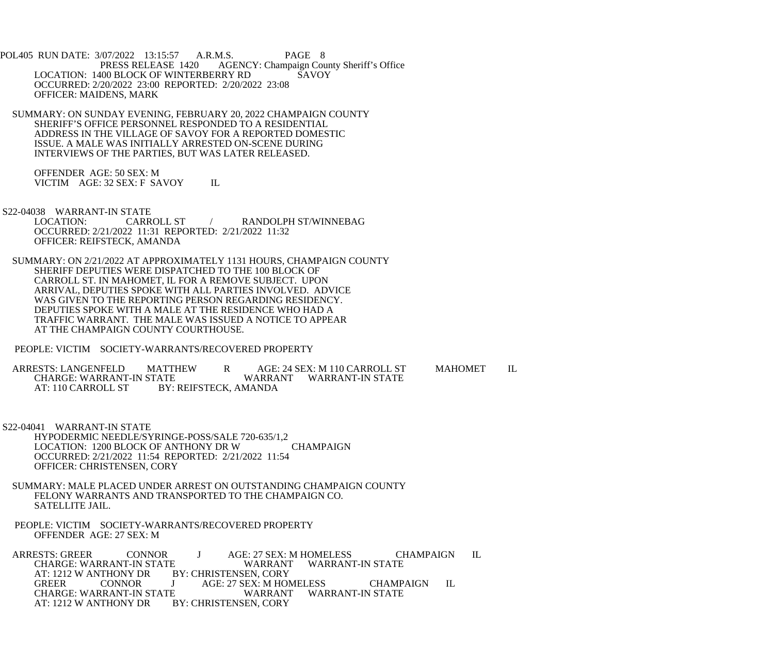POL405 RUN DATE: 3/07/2022 13:15:57 A.R.M.S. PAGE 8 PRESS RELEASE 1420 AGENCY: Champaign County Sheriff's Office LOCATION: 1400 BLOCK OF WINTERBERRY RD SAVOY OCCURRED: 2/20/2022 23:00 REPORTED: 2/20/2022 23:08 OFFICER: MAIDENS, MARK

 SUMMARY: ON SUNDAY EVENING, FEBRUARY 20, 2022 CHAMPAIGN COUNTY SHERIFF'S OFFICE PERSONNEL RESPONDED TO A RESIDENTIAL ADDRESS IN THE VILLAGE OF SAVOY FOR A REPORTED DOMESTIC ISSUE. A MALE WAS INITIALLY ARRESTED ON-SCENE DURING INTERVIEWS OF THE PARTIES, BUT WAS LATER RELEASED.

 OFFENDER AGE: 50 SEX: M VICTIM AGE: 32 SEX: F SAVOY IL

S22-04038 WARRANT-IN STATE

 LOCATION: CARROLL ST / RANDOLPH ST/WINNEBAG OCCURRED: 2/21/2022 11:31 REPORTED: 2/21/2022 11:32 OFFICER: REIFSTECK, AMANDA

 SUMMARY: ON 2/21/2022 AT APPROXIMATELY 1131 HOURS, CHAMPAIGN COUNTY SHERIFF DEPUTIES WERE DISPATCHED TO THE 100 BLOCK OF CARROLL ST. IN MAHOMET, IL FOR A REMOVE SUBJECT. UPON ARRIVAL, DEPUTIES SPOKE WITH ALL PARTIES INVOLVED. ADVICE WAS GIVEN TO THE REPORTING PERSON REGARDING RESIDENCY. DEPUTIES SPOKE WITH A MALE AT THE RESIDENCE WHO HAD A TRAFFIC WARRANT. THE MALE WAS ISSUED A NOTICE TO APPEAR AT THE CHAMPAIGN COUNTY COURTHOUSE.

PEOPLE: VICTIM SOCIETY-WARRANTS/RECOVERED PROPERTY

ARRESTS: LANGENFELD MATTHEW R AGE: 24 SEX: M 110 CARROLL ST MAHOMET IL CHARGE: WARRANT WARRANT WARRANT-IN STATE CHARGE: WARRANT-IN STATE WARRANT WARRANT-IN STATE<br>AT: 110 CARROLL ST BY: REIFSTECK. AMANDA BY: REIFSTECK, AMANDA

- S22-04041 WARRANT-IN STATE HYPODERMIC NEEDLE/SYRINGE-POSS/SALE 720-635/1,2 LOCATION: 1200 BLOCK OF ANTHONY DR W CHAMPAIGN OCCURRED: 2/21/2022 11:54 REPORTED: 2/21/2022 11:54 OFFICER: CHRISTENSEN, CORY
	- SUMMARY: MALE PLACED UNDER ARREST ON OUTSTANDING CHAMPAIGN COUNTY FELONY WARRANTS AND TRANSPORTED TO THE CHAMPAIGN CO. SATELLITE JAIL.
	- PEOPLE: VICTIM SOCIETY-WARRANTS/RECOVERED PROPERTY OFFENDER AGE: 27 SEX: M

ARRESTS: GREER CONNOR J AGE: 27 SEX: M HOMELESS CHAMPAIGN IL CHARGE: WARRANT WARRANT WARRANT-IN STATE E WARRANT WARRANT-IN STATE<br>BY: CHRISTENSEN, CORY AT: 1212 W ANTHONY DR BY: CHRISTENSEN, CORY J AGE: 27 SEX: M HOMELESS CHAMPAIGN IL<br>E WARRANT WARRANT-IN STATE CHARGE: WARRANT-IN STATE AT: 1212 W ANTHONY DR BY: CHRISTENSEN, CORY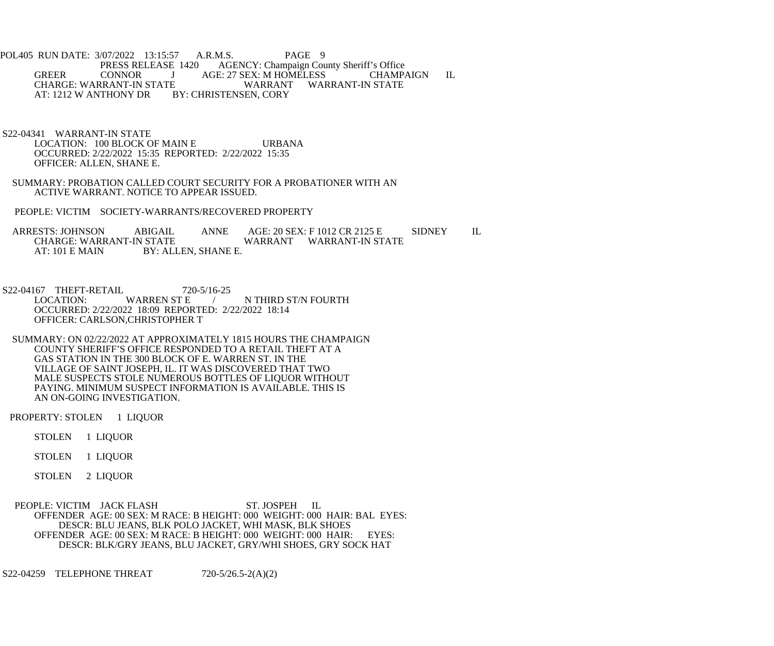POL405 RUN DATE: 3/07/2022 13:15:57 A.R.M.S. PAGE 9<br>PRESS RELEASE 1420 AGENCY: Champaign Cou PRESS RELEASE 1420 AGENCY: Champaign County Sheriff's Office<br>
GREER CONNOR J AGE: 27 SEX: M HOMELESS CHAMP. CONNOR J AGE: 27 SEX: M HOMELESS CHAMPAIGN IL<br>RANT-IN STATE WARRANT WARRANT-IN STATE CHARGE: WARRANT-IN STATE WARRANT<br>AT: 1212 W ANTHONY DR BY: CHRISTENSEN, CORY AT: 1212 W ANTHONY DR

- S22-04341 WARRANT-IN STATE LOCATION: 100 BLOCK OF MAIN E URBANA OCCURRED: 2/22/2022 15:35 REPORTED: 2/22/2022 15:35 OFFICER: ALLEN, SHANE E.
- SUMMARY: PROBATION CALLED COURT SECURITY FOR A PROBATIONER WITH AN ACTIVE WARRANT. NOTICE TO APPEAR ISSUED.
- PEOPLE: VICTIM SOCIETY-WARRANTS/RECOVERED PROPERTY

ARRESTS: JOHNSON ABIGAIL ANNE AGE: 20 SEX: F 1012 CR 2125 E SIDNEY IL CHARGE: WARRANT-IN STATE CHARGE: WARRANT-IN STATE WARRANT WARRANT-IN STATE<br>AT: 101 E MAIN BY: ALLEN, SHANE E. BY: ALLEN, SHANE E.

S22-04167 THEFT-RETAIL 720-5/16-25<br>LOCATION: WARREN ST E N THIRD ST/N FOURTH OCCURRED: 2/22/2022 18:09 REPORTED: 2/22/2022 18:14 OFFICER: CARLSON,CHRISTOPHER T

 SUMMARY: ON 02/22/2022 AT APPROXIMATELY 1815 HOURS THE CHAMPAIGN COUNTY SHERIFF'S OFFICE RESPONDED TO A RETAIL THEFT AT A GAS STATION IN THE 300 BLOCK OF E. WARREN ST. IN THE VILLAGE OF SAINT JOSEPH, IL. IT WAS DISCOVERED THAT TWO MALE SUSPECTS STOLE NUMEROUS BOTTLES OF LIQUOR WITHOUT PAYING. MINIMUM SUSPECT INFORMATION IS AVAILABLE. THIS IS AN ON-GOING INVESTIGATION.

PROPERTY: STOLEN 1 LIQUOR

STOLEN 1 LIQUOR

STOLEN 1 LIQUOR

STOLEN 2 LIQUOR

PEOPLE: VICTIM JACK FLASH ST. JOSPEH IL OFFENDER AGE: 00 SEX: M RACE: B HEIGHT: 000 WEIGHT: 000 HAIR: BAL EYES: DESCR: BLU JEANS, BLK POLO JACKET, WHI MASK, BLK SHOES OFFENDER AGE: 00 SEX: M RACE: B HEIGHT: 000 WEIGHT: 000 HAIR: EYES: DESCR: BLK/GRY JEANS, BLU JACKET, GRY/WHI SHOES, GRY SOCK HAT

S22-04259 TELEPHONE THREAT 720-5/26.5-2(A)(2)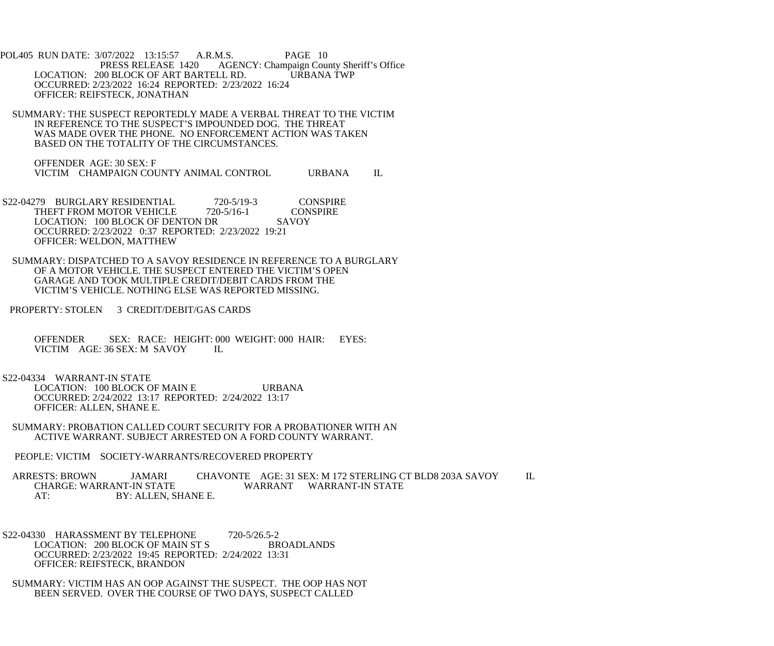POL405 RUN DATE: 3/07/2022 13:15:57 A.R.M.S. PAGE 10<br>PRESS RELEASE 1420 AGENCY: Champaign Cou AGENCY: Champaign County Sheriff's Office LOCATION: 200 BLOCK OF ART BARTELL RD. URBANA TWP OCCURRED: 2/23/2022 16:24 REPORTED: 2/23/2022 16:24 OFFICER: REIFSTECK, JONATHAN

 SUMMARY: THE SUSPECT REPORTEDLY MADE A VERBAL THREAT TO THE VICTIM IN REFERENCE TO THE SUSPECT'S IMPOUNDED DOG. THE THREAT WAS MADE OVER THE PHONE. NO ENFORCEMENT ACTION WAS TAKEN BASED ON THE TOTALITY OF THE CIRCUMSTANCES.

 OFFENDER AGE: 30 SEX: F VICTIM CHAMPAIGN COUNTY ANIMAL CONTROL URBANA IL

- S22-04279 BURGLARY RESIDENTIAL 720-5/19-3 CONSPIRE<br>THEFT FROM MOTOR VEHICLE 720-5/16-1 CONSPIRE THEFT FROM MOTOR VEHICLE LOCATION: 100 BLOCK OF DENTON DR SAVOY OCCURRED: 2/23/2022 0:37 REPORTED: 2/23/2022 19:21 OFFICER: WELDON, MATTHEW
- SUMMARY: DISPATCHED TO A SAVOY RESIDENCE IN REFERENCE TO A BURGLARY OF A MOTOR VEHICLE. THE SUSPECT ENTERED THE VICTIM'S OPEN GARAGE AND TOOK MULTIPLE CREDIT/DEBIT CARDS FROM THE VICTIM'S VEHICLE. NOTHING ELSE WAS REPORTED MISSING.
- PROPERTY: STOLEN 3 CREDIT/DEBIT/GAS CARDS
	- OFFENDER SEX: RACE: HEIGHT: 000 WEIGHT: 000 HAIR: EYES:<br>VICTIM AGE: 36 SEX: M SAVOY II. VICTIM AGE: 36 SEX: M SAVOY

## S22-04334 WARRANT-IN STATE

LOCATION: 100 BLOCK OF MAIN E URBANA OCCURRED: 2/24/2022 13:17 REPORTED: 2/24/2022 13:17 OFFICER: ALLEN, SHANE E.

- SUMMARY: PROBATION CALLED COURT SECURITY FOR A PROBATIONER WITH AN ACTIVE WARRANT. SUBJECT ARRESTED ON A FORD COUNTY WARRANT.
- PEOPLE: VICTIM SOCIETY-WARRANTS/RECOVERED PROPERTY

 ARRESTS: BROWN JAMARI CHAVONTE AGE: 31 SEX: M 172 STERLING CT BLD8 203A SAVOY IL WARRANT WARRANT-IN STATE AT: BY: ALLEN, SHANE E.

- S22-04330 HARASSMENT BY TELEPHONE 720-5/26.5-2 LOCATION: 200 BLOCK OF MAIN ST S BROADLANDS OCCURRED: 2/23/2022 19:45 REPORTED: 2/24/2022 13:31 OFFICER: REIFSTECK, BRANDON
- SUMMARY: VICTIM HAS AN OOP AGAINST THE SUSPECT. THE OOP HAS NOT BEEN SERVED. OVER THE COURSE OF TWO DAYS, SUSPECT CALLED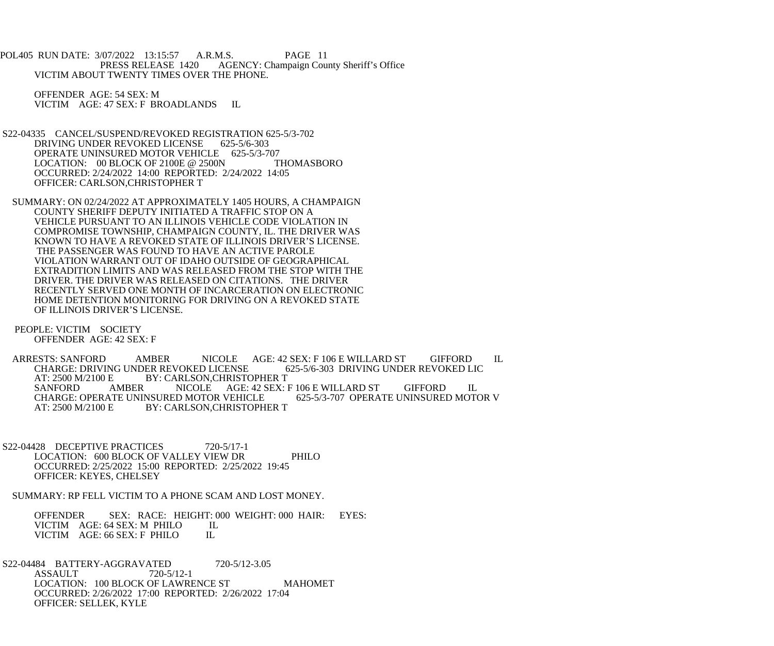POL405 RUN DATE: 3/07/2022 13:15:57 A.R.M.S. PAGE 11<br>PRESS RELEASE 1420 AGENCY: Champaign Cou AGENCY: Champaign County Sheriff's Office VICTIM ABOUT TWENTY TIMES OVER THE PHONE.

 OFFENDER AGE: 54 SEX: M VICTIM AGE: 47 SEX: F BROADLANDS IL

- S22-04335 CANCEL/SUSPEND/REVOKED REGISTRATION 625-5/3-702<br>DRIVING UNDER REVOKED LICENSE 625-5/6-303 DRIVING UNDER REVOKED LICENSE OPERATE UNINSURED MOTOR VEHICLE 625-5/3-707<br>LOCATION: 00 BLOCK OF 2100E @ 2500N THOMASBORO LOCATION:  $00$  BLOCK OF 2100E @ 2500N OCCURRED: 2/24/2022 14:00 REPORTED: 2/24/2022 14:05 OFFICER: CARLSON,CHRISTOPHER T
- SUMMARY: ON 02/24/2022 AT APPROXIMATELY 1405 HOURS, A CHAMPAIGN COUNTY SHERIFF DEPUTY INITIATED A TRAFFIC STOP ON A VEHICLE PURSUANT TO AN ILLINOIS VEHICLE CODE VIOLATION IN COMPROMISE TOWNSHIP, CHAMPAIGN COUNTY, IL. THE DRIVER WAS KNOWN TO HAVE A REVOKED STATE OF ILLINOIS DRIVER'S LICENSE. THE PASSENGER WAS FOUND TO HAVE AN ACTIVE PAROLE VIOLATION WARRANT OUT OF IDAHO OUTSIDE OF GEOGRAPHICAL EXTRADITION LIMITS AND WAS RELEASED FROM THE STOP WITH THE DRIVER. THE DRIVER WAS RELEASED ON CITATIONS. THE DRIVER RECENTLY SERVED ONE MONTH OF INCARCERATION ON ELECTRONIC HOME DETENTION MONITORING FOR DRIVING ON A REVOKED STATE OF ILLINOIS DRIVER'S LICENSE.
- PEOPLE: VICTIM SOCIETY OFFENDER AGE: 42 SEX: F

ARRESTS: SANFORD AMBER NICOLE AGE: 42 SEX: F 106 E WILLARD ST GIFFORD IL<br>CHARGE: DRIVING UNDER REVOKED LICENSE 625-5/6-303 DRIVING UNDER REVOKED LIC CHARGE: DRIVING UNDER REVOKED LICENSE<br>AT: 2500 M/2100 E BY: CARLSON.CHRISTO BY: CARLSON, CHRISTOPHER T SANFORD AMBER NICOLE AGE: 42 SEX: F 106 E WILLARD ST GIFFORD IL CHARGE: OPERATE UNINSURED MOTOR V CHARGE: OPERATE UNINSURED MOTOR VEHICLE<br>AT: 2500 M/2100 E BY: CARLSON, CHRISTOPH BY: CARLSON, CHRISTOPHER T

S22-04428 DECEPTIVE PRACTICES 720-5/17-1 LOCATION: 600 BLOCK OF VALLEY VIEW DR PHILO OCCURRED: 2/25/2022 15:00 REPORTED: 2/25/2022 19:45 OFFICER: KEYES, CHELSEY

SUMMARY: RP FELL VICTIM TO A PHONE SCAM AND LOST MONEY.

OFFENDER SEX: RACE: HEIGHT: 000 WEIGHT: 000 HAIR: EYES: VICTIM AGE: 64 SEX: M PHILO VICTIM AGE: 64 SEX: M PHILO IL<br>VICTIM AGE: 66 SEX: F PHILO IL VICTIM AGE: 66 SEX: F PHILO

S22-04484 BATTERY-AGGRAVATED 720-5/12-3.05<br>ASSAULT 720-5/12-1 **ASSAULT** LOCATION: 100 BLOCK OF LAWRENCE ST MAHOMET OCCURRED: 2/26/2022 17:00 REPORTED: 2/26/2022 17:04 OFFICER: SELLEK, KYLE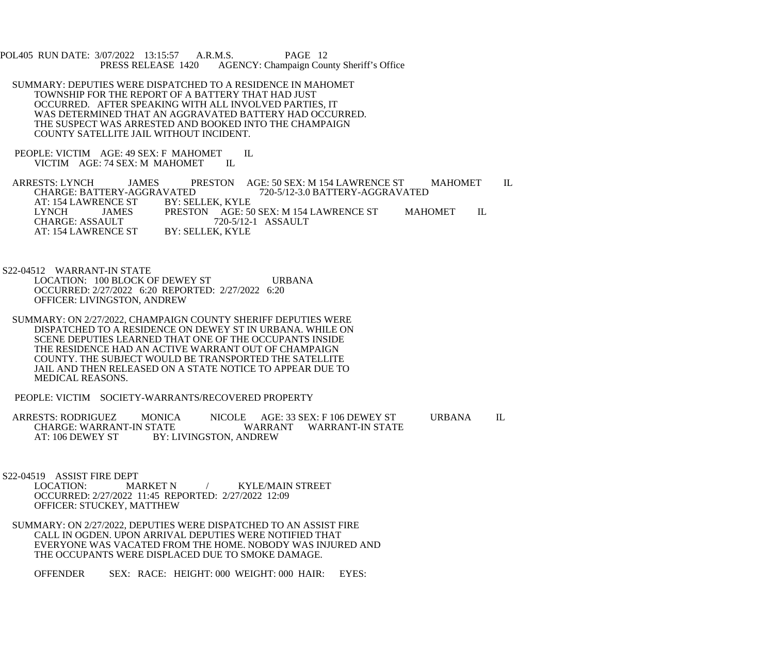POL405 RUN DATE: 3/07/2022 13:15:57 A.R.M.S. PAGE 12<br>PRESS RELEASE 1420 AGENCY: Champaign Cou AGENCY: Champaign County Sheriff's Office

- SUMMARY: DEPUTIES WERE DISPATCHED TO A RESIDENCE IN MAHOMET TOWNSHIP FOR THE REPORT OF A BATTERY THAT HAD JUST OCCURRED. AFTER SPEAKING WITH ALL INVOLVED PARTIES, IT WAS DETERMINED THAT AN AGGRAVATED BATTERY HAD OCCURRED. THE SUSPECT WAS ARRESTED AND BOOKED INTO THE CHAMPAIGN COUNTY SATELLITE JAIL WITHOUT INCIDENT.
- PEOPLE: VICTIM AGE: 49 SEX: F MAHOMET IL VICTIM AGE: 74 SEX: M MAHOMET IL VICTIM AGE: 74 SEX: M MAHOMET

ARRESTS: LYNCH JAMES PRESTON AGE: 50 SEX: M 154 LAWRENCE ST MAHOMET IL CHARGE: BATTERY-AGGRAVATED 720-5/12-3.0 BATTERY-AGGRAVATED VATED 720-5/12-3.0 BATTERY-AGGRAVATED<br>BY: SELLEK, KYLE AT: 154 LAWRENCE ST BY: SELLEK, KYLE LYNCH JAMES PRESTON AGE: 50 SEX: M 154 LAWRENCE ST MAHOMET IL<br>CHARGE: ASSAULT 720-5/12-1 ASSAULT 720-5/12-1 ASSAULT<br>BY: SELLEK, KYLE AT: 154 LAWRENCE ST

 S22-04512 WARRANT-IN STATE LOCATION: 100 BLOCK OF DEWEY ST URBANA OCCURRED: 2/27/2022 6:20 REPORTED: 2/27/2022 6:20 OFFICER: LIVINGSTON, ANDREW

- SUMMARY: ON 2/27/2022, CHAMPAIGN COUNTY SHERIFF DEPUTIES WERE DISPATCHED TO A RESIDENCE ON DEWEY ST IN URBANA. WHILE ON SCENE DEPUTIES LEARNED THAT ONE OF THE OCCUPANTS INSIDE THE RESIDENCE HAD AN ACTIVE WARRANT OUT OF CHAMPAIGN COUNTY. THE SUBJECT WOULD BE TRANSPORTED THE SATELLITE JAIL AND THEN RELEASED ON A STATE NOTICE TO APPEAR DUE TO MEDICAL REASONS.
- PEOPLE: VICTIM SOCIETY-WARRANTS/RECOVERED PROPERTY

ARRESTS: RODRIGUEZ MONICA NICOLE AGE: 33 SEX: F 106 DEWEY ST URBANA IL<br>CHARGE: WARRANT-IN STATE WARRANT WARRANT-IN STATE WARRANT WARRANT-IN STATE AT: 106 DEWEY ST BY: LIVINGSTON, ANDREW

S22-04519 ASSIST FIRE DEPT<br>LOCATION: MARKET N

LOCATION: MARKET N / KYLE/MAIN STREET OCCURRED: 2/27/2022 11:45 REPORTED: 2/27/2022 12:09 OFFICER: STUCKEY, MATTHEW

 SUMMARY: ON 2/27/2022, DEPUTIES WERE DISPATCHED TO AN ASSIST FIRE CALL IN OGDEN. UPON ARRIVAL DEPUTIES WERE NOTIFIED THAT EVERYONE WAS VACATED FROM THE HOME. NOBODY WAS INJURED AND THE OCCUPANTS WERE DISPLACED DUE TO SMOKE DAMAGE.

OFFENDER SEX: RACE: HEIGHT: 000 WEIGHT: 000 HAIR: EYES: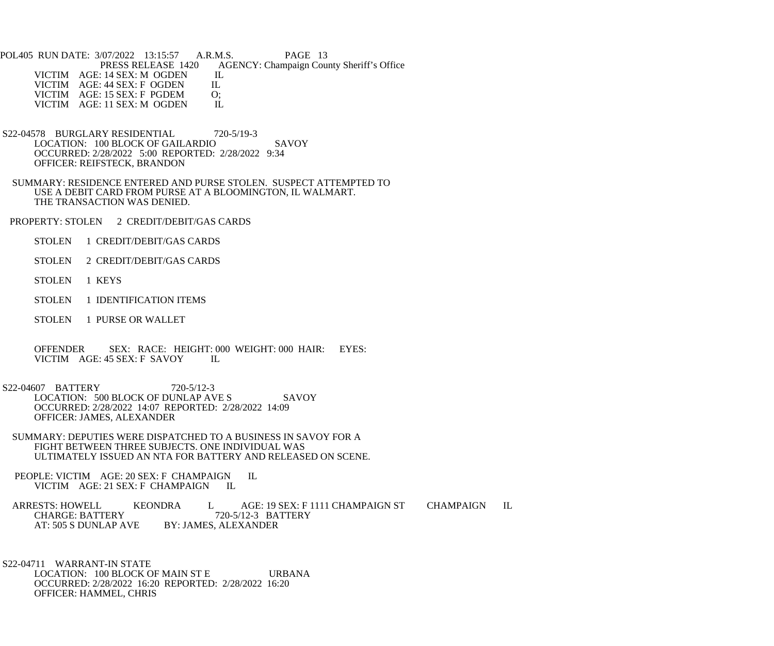POL405 RUN DATE: 3/07/2022 13:15:57 A.R.M.S. PAGE 13<br>PRESS RELEASE 1420 AGENCY: Champaign Cou AGENCY: Champaign County Sheriff's Office IL VICTIM AGE: 14 SEX: M OGDEN IL<br>VICTIM AGE: 44 SEX: F OGDEN IL VICTIM AGE: 44 SEX: F OGDEN IL<br>VICTIM AGE: 15 SEX: F PGDEM O; VICTIM AGE: 15 SEX: F PGDEM O;<br>VICTIM AGE: 11 SEX: M OGDEN IL VICTIM AGE: 11 SEX: M OGDEN

- S22-04578 BURGLARY RESIDENTIAL 720-5/19-3 LOCATION: 100 BLOCK OF GAILARDIO SAVOY OCCURRED: 2/28/2022 5:00 REPORTED: 2/28/2022 9:34 OFFICER: REIFSTECK, BRANDON
- SUMMARY: RESIDENCE ENTERED AND PURSE STOLEN. SUSPECT ATTEMPTED TO USE A DEBIT CARD FROM PURSE AT A BLOOMINGTON, IL WALMART. THE TRANSACTION WAS DENIED.
- PROPERTY: STOLEN 2 CREDIT/DEBIT/GAS CARDS
	- STOLEN 1 CREDIT/DEBIT/GAS CARDS
	- STOLEN 2 CREDIT/DEBIT/GAS CARDS
	- STOLEN 1 KEYS
	- STOLEN 1 IDENTIFICATION ITEMS
	- STOLEN 1 PURSE OR WALLET
	- OFFENDER SEX: RACE: HEIGHT: 000 WEIGHT: 000 HAIR: EYES: VICTIM AGE: 45 SEX: F SAVOY IL VICTIM AGE: 45 SEX: F SAVOY
- S22-04607 BATTERY 720-5/12-3 LOCATION: 500 BLOCK OF DUNLAP AVE S SAVOY OCCURRED: 2/28/2022 14:07 REPORTED: 2/28/2022 14:09 OFFICER: JAMES, ALEXANDER
- SUMMARY: DEPUTIES WERE DISPATCHED TO A BUSINESS IN SAVOY FOR A FIGHT BETWEEN THREE SUBJECTS. ONE INDIVIDUAL WAS ULTIMATELY ISSUED AN NTA FOR BATTERY AND RELEASED ON SCENE.
- PEOPLE: VICTIM AGE: 20 SEX: F CHAMPAIGN IL VICTIM AGE: 21 SEX: F CHAMPAIGN IL

ARRESTS: HOWELL KEONDRA L AGE: 19 SEX: F 1111 CHAMPAIGN ST CHAMPAIGN IL CHARGE: BATTERY 720-5/12-3 BATTERY CHARGE: BATTERY 720-5/12-3 BATTERY<br>AT: 505 S DUNLAP AVE BY: JAMES, ALEXANDER **BY: JAMES, ALEXANDER** 

 S22-04711 WARRANT-IN STATE LOCATION: 100 BLOCK OF MAIN ST E URBANA OCCURRED: 2/28/2022 16:20 REPORTED: 2/28/2022 16:20 OFFICER: HAMMEL, CHRIS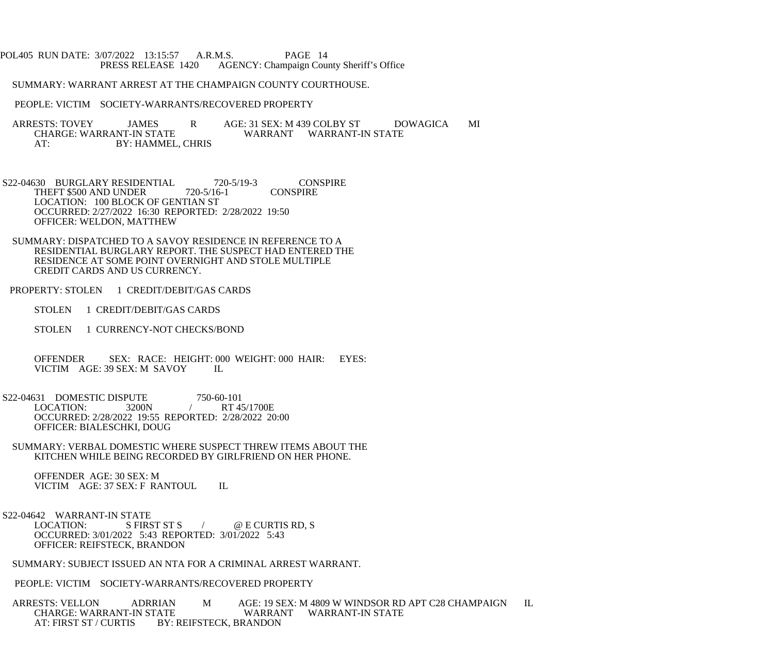## POL405 RUN DATE: 3/07/2022 13:15:57 A.R.M.S. PAGE 14 PRESS RELEASE 1420 AGENCY: Champaign County Sheriff's Office

## SUMMARY: WARRANT ARREST AT THE CHAMPAIGN COUNTY COURTHOUSE.

## PEOPLE: VICTIM SOCIETY-WARRANTS/RECOVERED PROPERTY

 ARRESTS: TOVEY JAMES R AGE: 31 SEX: M 439 COLBY ST DOWAGICA MI CHARGE: WARRANT-IN STATE WARRANT WARRANT-IN STATE<br>AT: BY: HAMMEL. CHRIS BY: HAMMEL, CHRIS

S22-04630 BURGLARY RESIDENTIAL 720-5/19-3 CONSPIRE<br>THEFT \$500 AND UNDER 720-5/16-1 CONSPIRE THEFT \$500 AND UNDER LOCATION: 100 BLOCK OF GENTIAN ST OCCURRED: 2/27/2022 16:30 REPORTED: 2/28/2022 19:50 OFFICER: WELDON, MATTHEW

 SUMMARY: DISPATCHED TO A SAVOY RESIDENCE IN REFERENCE TO A RESIDENTIAL BURGLARY REPORT. THE SUSPECT HAD ENTERED THE RESIDENCE AT SOME POINT OVERNIGHT AND STOLE MULTIPLE CREDIT CARDS AND US CURRENCY.

- PROPERTY: STOLEN 1 CREDIT/DEBIT/GAS CARDS
	- STOLEN 1 CREDIT/DEBIT/GAS CARDS
	- STOLEN 1 CURRENCY-NOT CHECKS/BOND

 OFFENDER SEX: RACE: HEIGHT: 000 WEIGHT: 000 HAIR: EYES: VICTIM AGE: 39 SEX: M SAVOY IL

S22-04631 DOMESTIC DISPUTE 750-60-101<br>LOCATION: 3200N / RT 4 RT 45/1700E OCCURRED: 2/28/2022 19:55 REPORTED: 2/28/2022 20:00 OFFICER: BIALESCHKI, DOUG

 SUMMARY: VERBAL DOMESTIC WHERE SUSPECT THREW ITEMS ABOUT THE KITCHEN WHILE BEING RECORDED BY GIRLFRIEND ON HER PHONE.

 OFFENDER AGE: 30 SEX: M VICTIM AGE: 37 SEX: F RANTOUL IL

S22-04642 WARRANT-IN STATE<br>LOCATION: S FIRST ST S  $\angle$   $\qquad \qquad \textcircled{e}$  E CURTIS RD, S OCCURRED: 3/01/2022 5:43 REPORTED: 3/01/2022 5:43 OFFICER: REIFSTECK, BRANDON

SUMMARY: SUBJECT ISSUED AN NTA FOR A CRIMINAL ARREST WARRANT.

PEOPLE: VICTIM SOCIETY-WARRANTS/RECOVERED PROPERTY

 ARRESTS: VELLON ADRRIAN M AGE: 19 SEX: M 4809 W WINDSOR RD APT C28 CHAMPAIGN IL CHARGE: WARRANT-IN STATE WARRANT<br>AT: FIRST ST / CURTIS BY: REIFSTECK, BRANDON BY: REIFSTECK, BRANDON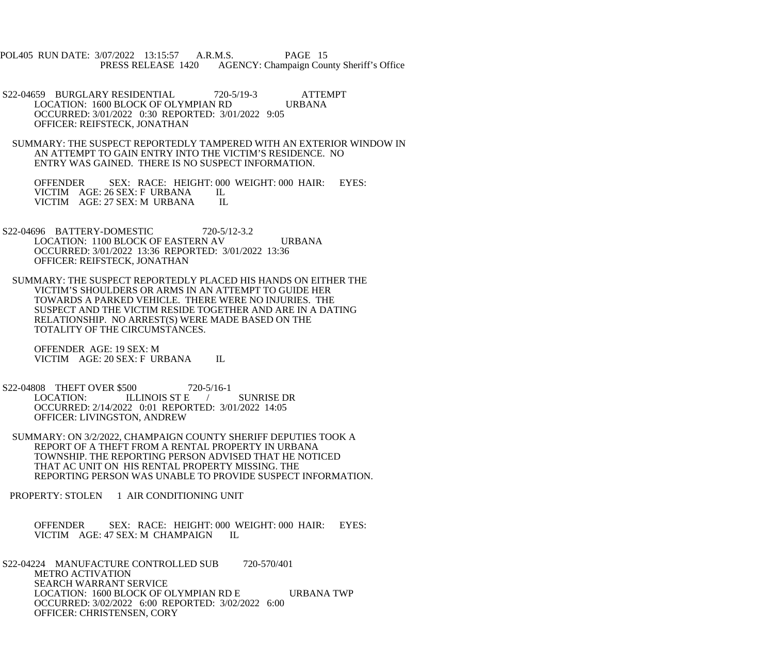POL405 RUN DATE: 3/07/2022 13:15:57 A.R.M.S. PAGE 15<br>PRESS RELEASE 1420 AGENCY: Champaign Cou AGENCY: Champaign County Sheriff's Office

S22-04659 BURGLARY RESIDENTIAL 720-5/19-3 ATTEMPT<br>LOCATION: 1600 BLOCK OF OLYMPIAN RD URBANA LOCATION: 1600 BLOCK OF OLYMPIAN RD OCCURRED: 3/01/2022 0:30 REPORTED: 3/01/2022 9:05 OFFICER: REIFSTECK, JONATHAN

 SUMMARY: THE SUSPECT REPORTEDLY TAMPERED WITH AN EXTERIOR WINDOW IN AN ATTEMPT TO GAIN ENTRY INTO THE VICTIM'S RESIDENCE. NO ENTRY WAS GAINED. THERE IS NO SUSPECT INFORMATION.

OFFENDER SEX: RACE: HEIGHT: 000 WEIGHT: 000 HAIR: EYES:<br>VICTIM AGE: 26 SEX: F URBANA IL VICTIM AGE: 26 SEX: F URBANA IL<br>VICTIM AGE: 27 SEX: M URBANA IL VICTIM AGE: 27 SEX: M URBANA

S22-04696 BATTERY-DOMESTIC 720-5/12-3.2 LOCATION: 1100 BLOCK OF EASTERN AV URBANA OCCURRED: 3/01/2022 13:36 REPORTED: 3/01/2022 13:36 OFFICER: REIFSTECK, JONATHAN

 SUMMARY: THE SUSPECT REPORTEDLY PLACED HIS HANDS ON EITHER THE VICTIM'S SHOULDERS OR ARMS IN AN ATTEMPT TO GUIDE HER TOWARDS A PARKED VEHICLE. THERE WERE NO INJURIES. THE SUSPECT AND THE VICTIM RESIDE TOGETHER AND ARE IN A DATING RELATIONSHIP. NO ARREST(S) WERE MADE BASED ON THE TOTALITY OF THE CIRCUMSTANCES.

 OFFENDER AGE: 19 SEX: M VICTIM AGE: 20 SEX: F URBANA IL

 S22-04808 THEFT OVER \$500 720-5/16-1 LOCATION: ILLINOIS ST E / SUNRISE DR OCCURRED: 2/14/2022 0:01 REPORTED: 3/01/2022 14:05 OFFICER: LIVINGSTON, ANDREW

 SUMMARY: ON 3/2/2022, CHAMPAIGN COUNTY SHERIFF DEPUTIES TOOK A REPORT OF A THEFT FROM A RENTAL PROPERTY IN URBANA TOWNSHIP. THE REPORTING PERSON ADVISED THAT HE NOTICED THAT AC UNIT ON HIS RENTAL PROPERTY MISSING. THE REPORTING PERSON WAS UNABLE TO PROVIDE SUSPECT INFORMATION.

PROPERTY: STOLEN 1 AIR CONDITIONING UNIT

 OFFENDER SEX: RACE: HEIGHT: 000 WEIGHT: 000 HAIR: EYES: VICTIM AGE: 47 SEX: M CHAMPAIGN IL

 S22-04224 MANUFACTURE CONTROLLED SUB 720-570/401 METRO ACTIVATION SEARCH WARRANT SERVICE LOCATION: 1600 BLOCK OF OLYMPIAN RD E URBANA TWP OCCURRED: 3/02/2022 6:00 REPORTED: 3/02/2022 6:00 OFFICER: CHRISTENSEN, CORY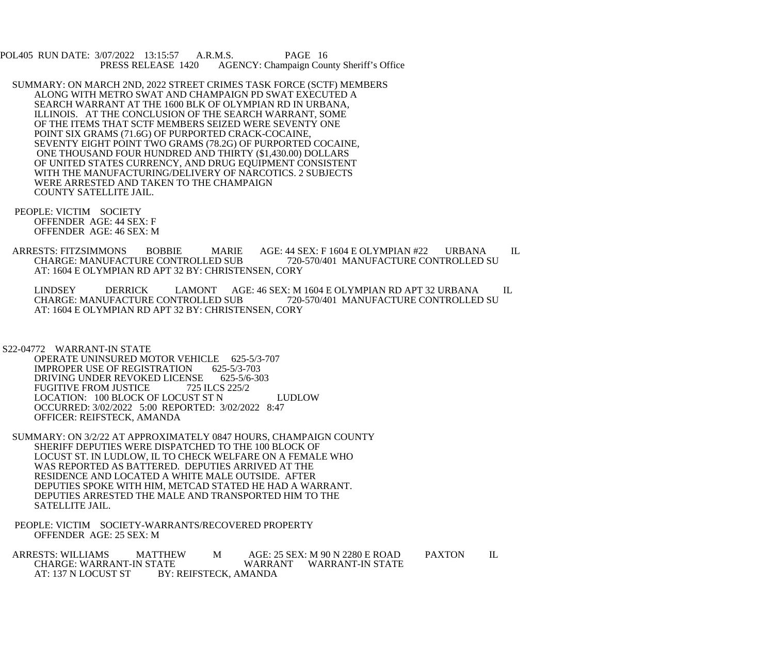POL405 RUN DATE: 3/07/2022 13:15:57 A.R.M.S. PAGE 16<br>PRESS RELEASE 1420 AGENCY: Champaign Cou AGENCY: Champaign County Sheriff's Office

- SUMMARY: ON MARCH 2ND, 2022 STREET CRIMES TASK FORCE (SCTF) MEMBERS ALONG WITH METRO SWAT AND CHAMPAIGN PD SWAT EXECUTED A SEARCH WARRANT AT THE 1600 BLK OF OLYMPIAN RD IN URBANA, ILLINOIS. AT THE CONCLUSION OF THE SEARCH WARRANT, SOME OF THE ITEMS THAT SCTF MEMBERS SEIZED WERE SEVENTY ONE POINT SIX GRAMS (71.6G) OF PURPORTED CRACK-COCAINE, SEVENTY EIGHT POINT TWO GRAMS (78.2G) OF PURPORTED COCAINE, ONE THOUSAND FOUR HUNDRED AND THIRTY (\$1,430.00) DOLLARS OF UNITED STATES CURRENCY, AND DRUG EQUIPMENT CONSISTENT WITH THE MANUFACTURING/DELIVERY OF NARCOTICS. 2 SUBJECTS WERE ARRESTED AND TAKEN TO THE CHAMPAIGN COUNTY SATELLITE JAIL.
	- PEOPLE: VICTIM SOCIETY OFFENDER AGE: 44 SEX: F OFFENDER AGE: 46 SEX: M
	- ARRESTS: FITZSIMMONS BOBBIE MARIE AGE: 44 SEX: F 1604 E OLYMPIAN #22 URBANA IL<br>CHARGE: MANUFACTURE CONTROLLED SUB 720-570/401 MANUFACTURE CONTROLLED SU CHARGE: MANUFACTURE CONTROLLED SUB AT: 1604 E OLYMPIAN RD APT 32 BY: CHRISTENSEN, CORY

LINDSEY DERRICK LAMONT AGE: 46 SEX: M 1604 E OLYMPIAN RD APT 32 URBANA IL CHARGE: MANUFACTURE CONTROLLED SU 720-570/401 MANUFACTURE CONTROLLED SU AT: 1604 E OLYMPIAN RD APT 32 BY: CHRISTENSEN, CORY

S22-04772 WARRANT-IN STATE

OPERATE UNINSURED MOTOR VEHICLE 625-5/3-707<br>IMPROPER USE OF REGISTRATION 625-5/3-703 IMPROPER USE OF REGISTRATION 625-5/3-703<br>DRIVING UNDER REVOKED LICENSE 625-5/6-303 DRIVING UNDER REVOKED LICENSE FUGITIVE FROM JUSTICE 725 ILCS 225/2 LOCATION: 100 BLOCK OF LOCUST ST N LUDLOW OCCURRED: 3/02/2022 5:00 REPORTED: 3/02/2022 8:47 OFFICER: REIFSTECK, AMANDA

- SUMMARY: ON 3/2/22 AT APPROXIMATELY 0847 HOURS, CHAMPAIGN COUNTY SHERIFF DEPUTIES WERE DISPATCHED TO THE 100 BLOCK OF LOCUST ST. IN LUDLOW, IL TO CHECK WELFARE ON A FEMALE WHO WAS REPORTED AS BATTERED. DEPUTIES ARRIVED AT THE RESIDENCE AND LOCATED A WHITE MALE OUTSIDE. AFTER DEPUTIES SPOKE WITH HIM, METCAD STATED HE HAD A WARRANT. DEPUTIES ARRESTED THE MALE AND TRANSPORTED HIM TO THE SATELLITE JAIL.
- PEOPLE: VICTIM SOCIETY-WARRANTS/RECOVERED PROPERTY OFFENDER AGE: 25 SEX: M
- ARRESTS: WILLIAMS MATTHEW M AGE: 25 SEX: M 90 N 2280 E ROAD PAXTON IL<br>CHARGE: WARRANT-IN STATE WARRANT WARRANT-IN STATE CHARGE: WARRANT-IN STATE<br>AT: 137 N LOCUST ST BY: BY: REIFSTECK, AMANDA